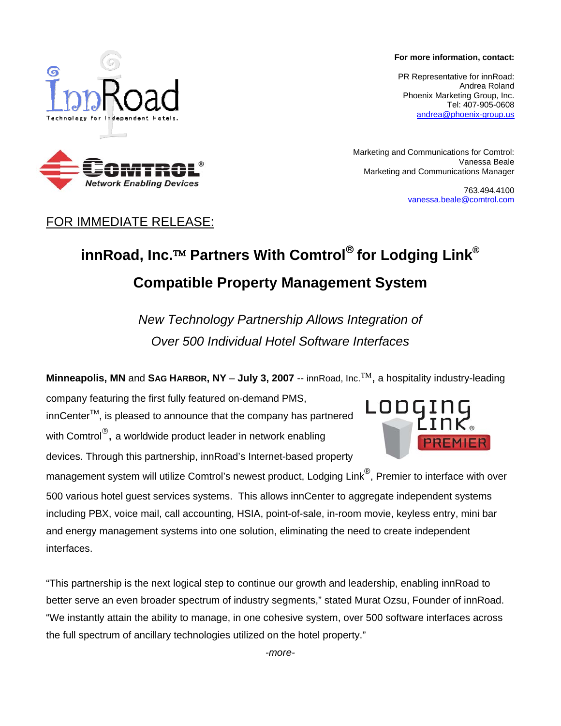**For more information, contact:** 

PR Representative for innRoad: Andrea Roland Phoenix Marketing Group, Inc. Tel: 407-905-0608 andrea@phoenix-group.us

Marketing and Communications for Comtrol: Vanessa Beale Marketing and Communications Manager

> 763.494.4100 vanessa.beale@comtrol.com

## FOR IMMEDIATE RELEASE:

## **innRoad, Inc.**™ **Partners With Comtrol**® **for Lodging Link® Compatible Property Management System**

*New Technology Partnership Allows Integration of Over 500 Individual Hotel Software Interfaces*

**Minneapolis, MN** and **SAG HARBOR, NY** – **July 3, 2007** -- innRoad, Inc.™, a hospitality industry-leading

company featuring the first fully featured on-demand PMS, innCenterTM, is pleased to announce that the company has partnered with Comtrol<sup>®</sup>, a worldwide product leader in network enabling devices. Through this partnership, innRoad's Internet-based property

management system will utilize Comtrol's newest product, Lodging Link<sup>®</sup>, Premier to interface with over 500 various hotel guest services systems. This allows innCenter to aggregate independent systems including PBX, voice mail, call accounting, HSIA, point-of-sale, in-room movie, keyless entry, mini bar and energy management systems into one solution, eliminating the need to create independent interfaces.

"This partnership is the next logical step to continue our growth and leadership, enabling innRoad to better serve an even broader spectrum of industry segments," stated Murat Ozsu, Founder of innRoad. "We instantly attain the ability to manage, in one cohesive system, over 500 software interfaces across the full spectrum of ancillary technologies utilized on the hotel property."

*-more-*